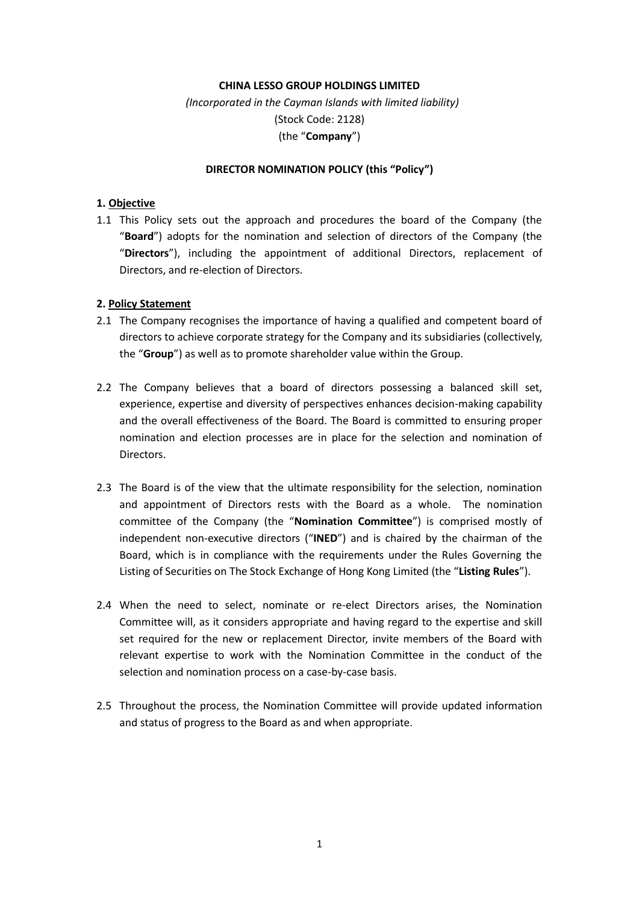## **CHINA LESSO GROUP HOLDINGS LIMITED**

*(Incorporated in the Cayman Islands with limited liability)* (Stock Code: 2128) (the "**Company**")

#### **DIRECTOR NOMINATION POLICY (this "Policy")**

## **1. Objective**

1.1 This Policy sets out the approach and procedures the board of the Company (the "**Board**") adopts for the nomination and selection of directors of the Company (the "**Directors**"), including the appointment of additional Directors, replacement of Directors, and re-election of Directors.

# **2. Policy Statement**

- 2.1 The Company recognises the importance of having a qualified and competent board of directors to achieve corporate strategy for the Company and its subsidiaries (collectively, the "**Group**") as well as to promote shareholder value within the Group.
- 2.2 The Company believes that a board of directors possessing a balanced skill set, experience, expertise and diversity of perspectives enhances decision-making capability and the overall effectiveness of the Board. The Board is committed to ensuring proper nomination and election processes are in place for the selection and nomination of Directors.
- 2.3 The Board is of the view that the ultimate responsibility for the selection, nomination and appointment of Directors rests with the Board as a whole. The nomination committee of the Company (the "**Nomination Committee**") is comprised mostly of independent non-executive directors ("**INED**") and is chaired by the chairman of the Board, which is in compliance with the requirements under the Rules Governing the Listing of Securities on The Stock Exchange of Hong Kong Limited (the "**Listing Rules**").
- 2.4 When the need to select, nominate or re-elect Directors arises, the Nomination Committee will, as it considers appropriate and having regard to the expertise and skill set required for the new or replacement Director, invite members of the Board with relevant expertise to work with the Nomination Committee in the conduct of the selection and nomination process on a case-by-case basis.
- 2.5 Throughout the process, the Nomination Committee will provide updated information and status of progress to the Board as and when appropriate.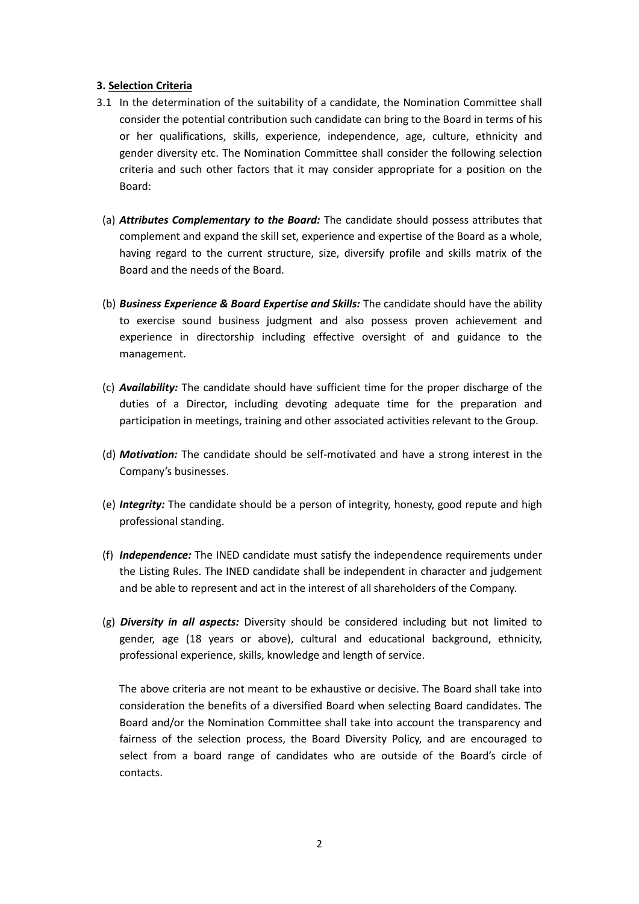### **3. Selection Criteria**

- 3.1 In the determination of the suitability of a candidate, the Nomination Committee shall consider the potential contribution such candidate can bring to the Board in terms of his or her qualifications, skills, experience, independence, age, culture, ethnicity and gender diversity etc. The Nomination Committee shall consider the following selection criteria and such other factors that it may consider appropriate for a position on the Board:
- (a) *Attributes Complementary to the Board:* The candidate should possess attributes that complement and expand the skill set, experience and expertise of the Board as a whole, having regard to the current structure, size, diversify profile and skills matrix of the Board and the needs of the Board.
- (b) *Business Experience & Board Expertise and Skills:* The candidate should have the ability to exercise sound business judgment and also possess proven achievement and experience in directorship including effective oversight of and guidance to the management.
- (c) *Availability:* The candidate should have sufficient time for the proper discharge of the duties of a Director, including devoting adequate time for the preparation and participation in meetings, training and other associated activities relevant to the Group.
- (d) *Motivation:* The candidate should be self-motivated and have a strong interest in the Company's businesses.
- (e) *Integrity:* The candidate should be a person of integrity, honesty, good repute and high professional standing.
- (f) *Independence:* The INED candidate must satisfy the independence requirements under the Listing Rules. The INED candidate shall be independent in character and judgement and be able to represent and act in the interest of all shareholders of the Company.
- (g) *Diversity in all aspects:* Diversity should be considered including but not limited to gender, age (18 years or above), cultural and educational background, ethnicity, professional experience, skills, knowledge and length of service.

The above criteria are not meant to be exhaustive or decisive. The Board shall take into consideration the benefits of a diversified Board when selecting Board candidates. The Board and/or the Nomination Committee shall take into account the transparency and fairness of the selection process, the Board Diversity Policy, and are encouraged to select from a board range of candidates who are outside of the Board's circle of contacts.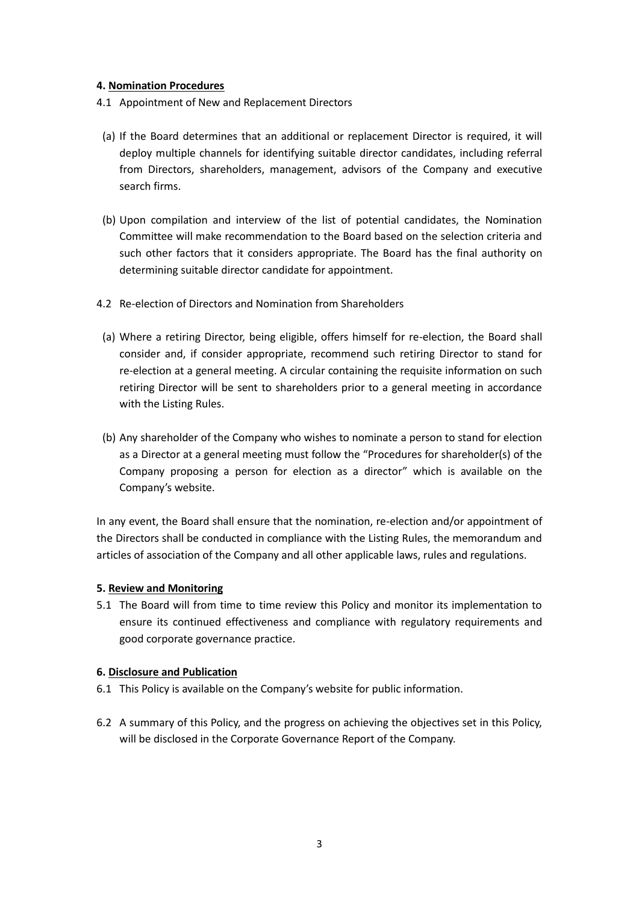# **4. Nomination Procedures**

- 4.1 Appointment of New and Replacement Directors
	- (a) If the Board determines that an additional or replacement Director is required, it will deploy multiple channels for identifying suitable director candidates, including referral from Directors, shareholders, management, advisors of the Company and executive search firms.
- (b) Upon compilation and interview of the list of potential candidates, the Nomination Committee will make recommendation to the Board based on the selection criteria and such other factors that it considers appropriate. The Board has the final authority on determining suitable director candidate for appointment.
- 4.2 Re-election of Directors and Nomination from Shareholders
- (a) Where a retiring Director, being eligible, offers himself for re-election, the Board shall consider and, if consider appropriate, recommend such retiring Director to stand for re-election at a general meeting. A circular containing the requisite information on such retiring Director will be sent to shareholders prior to a general meeting in accordance with the Listing Rules.
- (b) Any shareholder of the Company who wishes to nominate a person to stand for election as a Director at a general meeting must follow the "Procedures for shareholder(s) of the Company proposing a person for election as a director" which is available on the Company's website.

In any event, the Board shall ensure that the nomination, re-election and/or appointment of the Directors shall be conducted in compliance with the Listing Rules, the memorandum and articles of association of the Company and all other applicable laws, rules and regulations.

#### **5. Review and Monitoring**

5.1 The Board will from time to time review this Policy and monitor its implementation to ensure its continued effectiveness and compliance with regulatory requirements and good corporate governance practice.

#### **6. Disclosure and Publication**

- 6.1 This Policy is available on the Company's website for public information.
- 6.2 A summary of this Policy, and the progress on achieving the objectives set in this Policy, will be disclosed in the Corporate Governance Report of the Company.